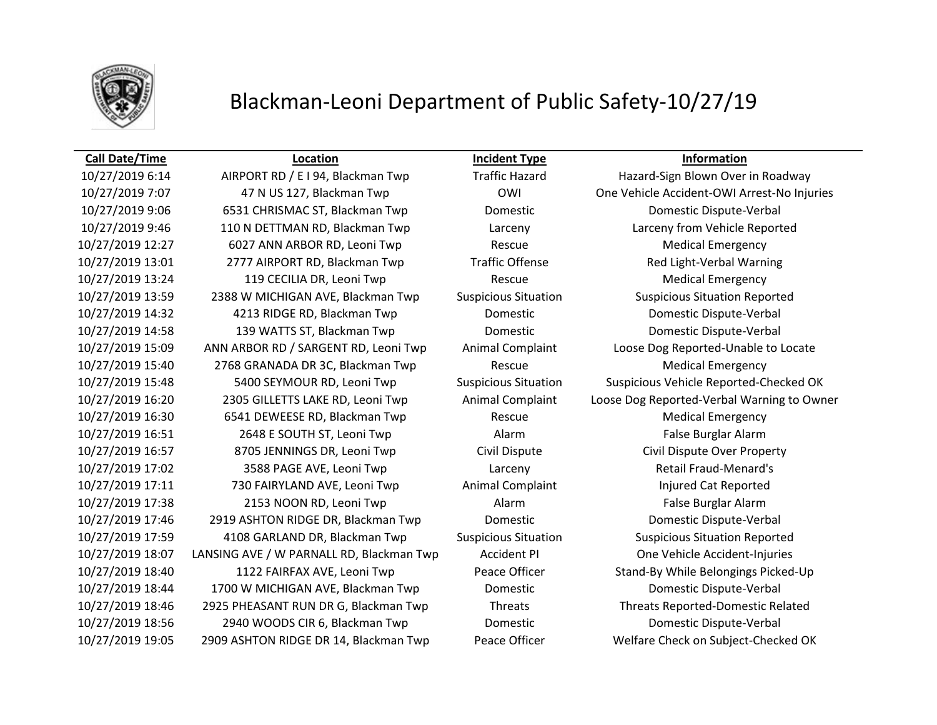

## Blackman-Leoni Department of Public Safety-10/27/19

10/27/2019 6:14 AIRPORT RD / E I 94, Blackman Twp Traffic Hazard Hazard-Sign Blown Over in Roadway 10/27/2019 9:06 6531 CHRISMAC ST, Blackman Twp Domestic Domestic Dispute-Verbal 10/27/2019 9:46 110 N DETTMAN RD, Blackman Twp Larceny Larceny from Vehicle Reported 10/27/2019 12:27 6027 ANN ARBOR RD, Leoni Twp Rescue Rescue Medical Emergency 10/27/2019 13:01 2777 AIRPORT RD, Blackman Twp Traffic Offense Red Light-Verbal Warning 10/27/2019 13:24 119 CECILIA DR, Leoni Twp Rescue Rescue Medical Emergency 10/27/2019 13:59 2388 W MICHIGAN AVE, Blackman Twp Suspicious Situation Suspicious Situation Reported 10/27/2019 14:32 4213 RIDGE RD, Blackman Twp Domestic Domestic Dispute-Verbal 10/27/2019 14:58 139 WATTS ST, Blackman Twp Domestic Domestic Dispute-Verbal 10/27/2019 15:40 2768 GRANADA DR 3C, Blackman Twp Rescue Medical Emergency 10/27/2019 16:30 6541 DEWEESE RD, Blackman Twp Rescue Medical Emergency 10/27/2019 16:51 2648 E SOUTH ST, Leoni Twp Alarm Alarm False Burglar Alarm 10/27/2019 16:57 8705 JENNINGS DR, Leoni Twp Civil Dispute Civil Dispute Over Property 10/27/2019 17:02 3588 PAGE AVE, Leoni Twp Larceny Retail Fraud-Menard's 10/27/2019 17:11 730 FAIRYLAND AVE, Leoni Twp Animal Complaint The Liqured Cat Reported 10/27/2019 17:38 2153 NOON RD, Leoni Twp Alarm False Burglar Alarm 10/27/2019 17:46 2919 ASHTON RIDGE DR, Blackman Twp Domestic Domestic Dispute-Verbal 10/27/2019 17:59 4108 GARLAND DR, Blackman Twp Suspicious Situation Suspicious Situation Reported 10/27/2019 18:07 LANSING AVE / W PARNALL RD, Blackman Twp Accident PI One Vehicle Accident-Injuries 10/27/2019 18:44 1700 W MICHIGAN AVE, Blackman Twp Domestic Domestic Dispute-Verbal 10/27/2019 18:46 2925 PHEASANT RUN DR G, Blackman Twp Threats Threats Reported-Domestic Related 10/27/2019 18:56 2940 WOODS CIR 6, Blackman Twp Domestic Domestic Dispute-Verbal 10/27/2019 19:05 2909 ASHTON RIDGE DR 14, Blackman Twp Peace Officer Welfare Check on Subject-Checked OK

**Call Date/Time Location Incident Type Information**

10/27/2019 7:07 47 N US 127, Blackman Twp OWI One Vehicle Accident-OWI Arrest-No Injuries 10/27/2019 15:09 ANN ARBOR RD / SARGENT RD, Leoni Twp Animal Complaint Loose Dog Reported-Unable to Locate 10/27/2019 15:48 5400 SEYMOUR RD, Leoni Twp Suspicious Situation Suspicious Vehicle Reported-Checked OK 10/27/2019 16:20 2305 GILLETTS LAKE RD, Leoni Twp Animal Complaint Loose Dog Reported-Verbal Warning to Owner 10/27/2019 18:40 1122 FAIRFAX AVE, Leoni Twp Peace Officer Stand-By While Belongings Picked-Up